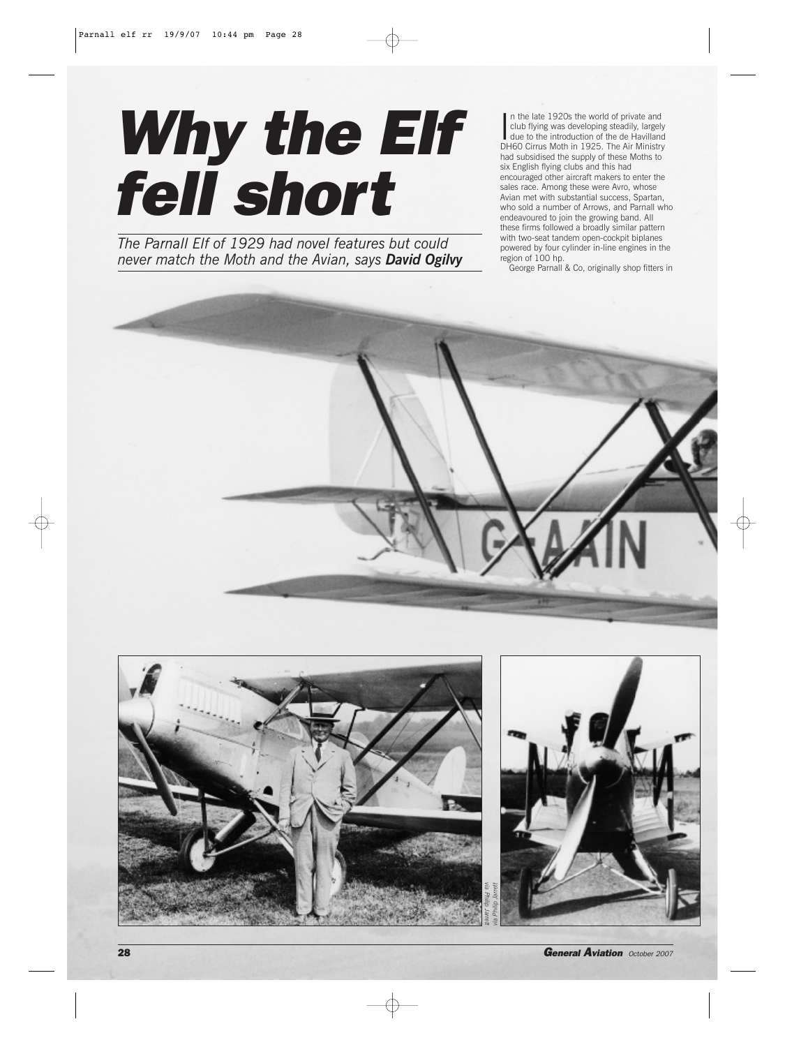## *Why the Elf fell short*

*The Parnall Elf of 1929 had novel features but could never match the Moth and the Avian, says David Ogilvy*

In the late 1920s the world of private and<br>club flying was developing steadily, largel<br>due to the introduction of the de Havillan club flying was developing steadily, largely due to the introduction of the de Havilland DH60 Cirrus Moth in 1925. The Air Ministry had subsidised the supply of these Moths to six English flying clubs and this had encouraged other aircraft makers to enter the sales race. Among these were Avro, whose Avian met with substantial success, Spartan, who sold a number of Arrows, and Parnall who endeavoured to join the growing band. All these firms followed a broadly similar pattern with two-seat tandem open-cockpit biplanes powered by four cylinder in-line engines in the region of 100 hp.

George Parnall & Co, originally shop fitters in



28 *General Aviation October 2007*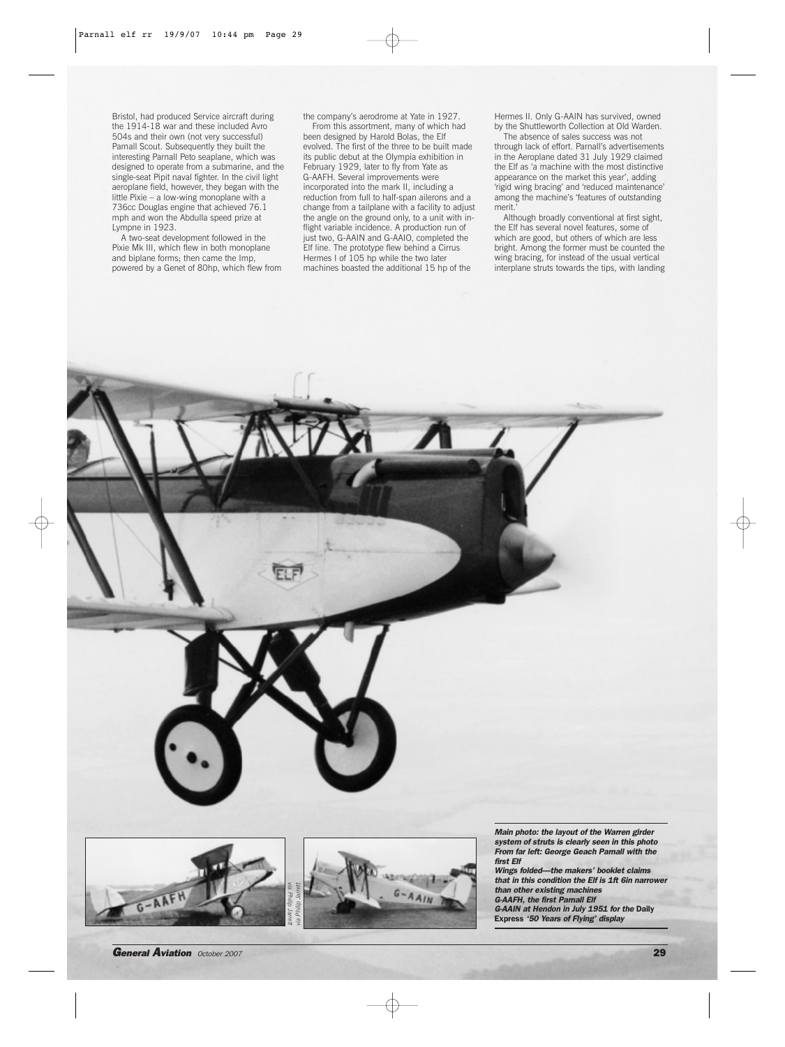Bristol, had produced Service aircraft during the 1914-18 war and these included Avro 504s and their own (not very successful) Parnall Scout. Subsequently they built the interesting Parnall Peto seaplane, which was designed to operate from a submarine, and the single-seat Pipit naval fighter. In the civil light aeroplane field, however, they began with the little Pixie – a low-wing monoplane with a 736cc Douglas engine that achieved 76.1 mph and won the Abdulla speed prize at Lympne in 1923.

A two-seat development followed in the Pixie Mk III, which flew in both monoplane and biplane forms; then came the Imp, powered by a Genet of 80hp, which flew from

the company's aerodrome at Yate in 1927. From this assortment, many of which had been designed by Harold Bolas, the Elf evolved. The first of the three to be built made its public debut at the Olympia exhibition in February 1929, later to fly from Yate as G-AAFH. Several improvements were incorporated into the mark II, including a reduction from full to half-span ailerons and a change from a tailplane with a facility to adjust the angle on the ground only, to a unit with inflight variable incidence. A production run of just two, G-AAIN and G-AAIO, completed the Elf line. The prototype flew behind a Cirrus Hermes I of 105 hp while the two later machines boasted the additional 15 hp of the

Hermes II. Only G-AAIN has survived, owned by the Shuttleworth Collection at Old Warden. The absence of sales success was not

through lack of effort. Parnall's advertisements in the Aeroplane dated 31 July 1929 claimed the Elf as 'a machine with the most distinctive appearance on the market this year', adding 'rigid wing bracing' and 'reduced maintenance' among the machine's 'features of outstanding merit.'

Although broadly conventional at first sight, the Elf has several novel features, some of which are good, but others of which are less bright. Among the former must be counted the wing bracing, for instead of the usual vertical interplane struts towards the tips, with landing

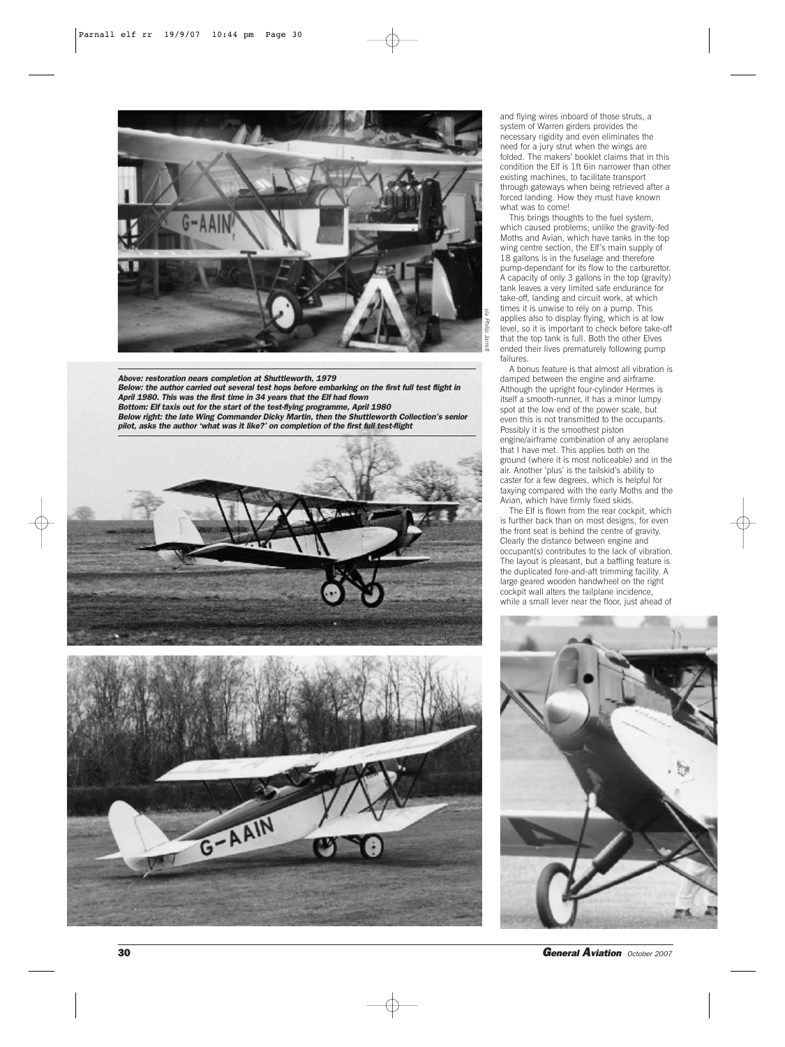

*Above: restoration nears completion at Shuttleworth, 1979 Below: the author carried out several test hops before embarking on the first full test flight in April 1980. This was the first time in 34 years that the Elf had flown Bottom: Elf taxis out for the start of the test-flying programme, April 1980 Below right: the late Wing Commander Dicky Martin, then the Shuttleworth Collection's senior pilot, asks the author 'what was it like?' on completion of the first full test-flight*



G-AAIN

and flying wires inboard of those struts, a system of Warren girders provides the necessary rigidity and even eliminates the need for a jury strut when the wings are folded. The makers' booklet claims that in this condition the Elf is 1ft 6in narrower than other existing machines, to facilitate transport through gateways when being retrieved after a forced landing. How they must have known what was to come!

This brings thoughts to the fuel system, which caused problems; unlike the gravity-fed Moths and Avian, which have tanks in the top wing centre section, the Elf's main supply of 18 gallons is in the fuselage and therefore pump-dependant for its flow to the carburettor. A capacity of only 3 gallons in the top (gravity) tank leaves a very limited safe endurance for take-off, landing and circuit work, at which times it is unwise to rely on a pump. This applies also to display flying, which is at low level, so it is important to check before take-off that the top tank is full. Both the other Elves ended their lives prematurely following pump failures.

A bonus feature is that almost all vibration is damped between the engine and airframe. Although the upright four-cylinder Hermes is itself a smooth-runner, it has a minor lumpy spot at the low end of the power scale, but even this is not transmitted to the occupants. Possibly it is the smoothest piston engine/airframe combination of any aeroplane that I have met. This applies both on the ground (where it is most noticeable) and in the air. Another 'plus' is the tailskid's ability to caster for a few degrees, which is helpful for taxying compared with the early Moths and the Avian, which have firmly fixed skids.

The Elf is flown from the rear cockpit, which is further back than on most designs, for even the front seat is behind the centre of gravity. Clearly the distance between engine and occupant(s) contributes to the lack of vibration. The layout is pleasant, but a baffling feature is the duplicated fore-and-aft trimming facility. A large geared wooden handwheel on the right cockpit wall alters the tailplane incidence, while a small lever near the floor, just ahead of



30 *General Aviation October 2007*